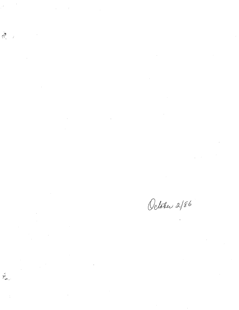$\label{eq:2.1} \mathcal{L}_{\text{max}}(\mathcal{L}_{\text{max}}) = \mathcal{L}_{\text{max}}(\mathcal{L}_{\text{max}}) \mathcal{L}_{\text{max}}(\mathcal{L}_{\text{max}})$ 

 $\begin{array}{c} \displaystyle \bigoplus_{i=1}^{\infty} \quad \ \ \, \bigwedge_{i=1}^{\infty} \quad \ \ \, \bigwedge_{i=1}^{\infty} \quad \ \, \bigwedge_{i=1}^{\infty} \quad \ \, \bigwedge_{i=1}^{\infty} \quad \ \, \bigwedge_{i=1}^{\infty} \quad \ \, \bigwedge_{i=1}^{\infty} \quad \ \, \bigwedge_{i=1}^{\infty} \quad \ \, \bigwedge_{i=1}^{\infty} \quad \ \, \bigwedge_{i=1}^{\infty} \quad \ \, \bigwedge_{i$ 

 $\label{eq:2.1} \mathcal{L}(\mathcal{L}^{\text{max}}_{\mathcal{L}}(\mathcal{L}^{\text{max}}_{\mathcal{L}})) \leq \mathcal{L}(\mathcal{L}^{\text{max}}_{\mathcal{L}}(\mathcal{L}^{\text{max}}_{\mathcal{L}}))$ 

 $\label{eq:2.1} \frac{1}{\sqrt{2\pi}}\frac{1}{\sqrt{2\pi}}\frac{1}{\sqrt{2\pi}}\frac{1}{\sqrt{2\pi}}\frac{1}{\sqrt{2\pi}}\frac{1}{\sqrt{2\pi}}\frac{1}{\sqrt{2\pi}}\frac{1}{\sqrt{2\pi}}\frac{1}{\sqrt{2\pi}}\frac{1}{\sqrt{2\pi}}\frac{1}{\sqrt{2\pi}}\frac{1}{\sqrt{2\pi}}\frac{1}{\sqrt{2\pi}}\frac{1}{\sqrt{2\pi}}\frac{1}{\sqrt{2\pi}}\frac{1}{\sqrt{2\pi}}\frac{1}{\sqrt{2\pi}}\frac{1}{\sqrt$ 

اندا<br>موسيق

 $\Delta \phi = 0.1$ 

 $\label{eq:2.1} \frac{1}{\sqrt{2}}\int_{\mathbb{R}^3}\frac{1}{\sqrt{2}}\left(\frac{1}{\sqrt{2}}\right)^2\frac{1}{\sqrt{2}}\left(\frac{1}{\sqrt{2}}\right)^2\frac{1}{\sqrt{2}}\left(\frac{1}{\sqrt{2}}\right)^2\frac{1}{\sqrt{2}}\left(\frac{1}{\sqrt{2}}\right)^2\frac{1}{\sqrt{2}}\left(\frac{1}{\sqrt{2}}\right)^2\frac{1}{\sqrt{2}}\frac{1}{\sqrt{2}}\frac{1}{\sqrt{2}}\frac{1}{\sqrt{2}}\frac{1}{\sqrt{2}}\frac{1}{\sqrt{2}}$ 

October 2/86

 $\label{eq:2.1} \frac{1}{\sqrt{2}}\int_{\mathbb{R}^3}\frac{1}{\sqrt{2}}\left(\frac{1}{\sqrt{2}}\right)^2\frac{1}{\sqrt{2}}\left(\frac{1}{\sqrt{2}}\right)^2\frac{1}{\sqrt{2}}\left(\frac{1}{\sqrt{2}}\right)^2\frac{1}{\sqrt{2}}\left(\frac{1}{\sqrt{2}}\right)^2.$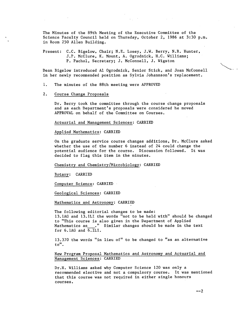The Minutes of the 89th Meeting of the Executive Committee of the Science Faculty Council held on Thursday, October 2, 1986 at 3:30 p.m. in Room 250 Allen Building.

Present: C.C. Bigelow, Chair; N.E. Losey, J.W. Berry, N.R. Hunter, J.P. McClure, K. Mount, A. Ogrodnick, H.C. Williams; P. Pachol, Secretary; J. McConnell, J. Wigston

Dean Bigelow introduced Al Ogrodnick, Senior Stick, and Joan McConnell in her newly recommended position as Sylvia Johannson's replacement.

- 1. The minutes of the 88th meeting were APPROVED
- $2.$ Course Change Proposals

Dr. Berry took the committee through the course change proposals and as each Department's proposals were considered he moved APPROVAL on behalf of the Committee on Courses.

Actuarial and Management Sciences: CARRIED

Applied Mathematics: CARRIED

On the graduate service course changes additions, Dr. McClure asked whether the use of the number 6 instead of 24 could change the potential audience for the course. Discussion followed. It was decided to flag this item in the minutes.

Chemistry and Chemistry/Microbiology: CARRIED

Botany: CARRIED

Computer Science: CARRIED

Geological Sciences: CARRIED

Mathematics and Astronomy: CARRIED

The following editorial changes to be made: 13. lAG and 13.1LI the words "not to be held with" should be changed to "This course is also given in the Department of Applied Mathematics as .... "Similar changes should be made in the text for 6.1AG and 6.1LI.

13.370 the words "in lieu of" to be changed to "as an alternative to".

New Program Proposal Mathematics and Astronomy and Actuarial and Management Sciences: CARRIED

Dr.H. Williams asked why Computer Science 120 was only a recommended elective and not a compulsory course. It was mentioned that this course was not required in either single honours courses.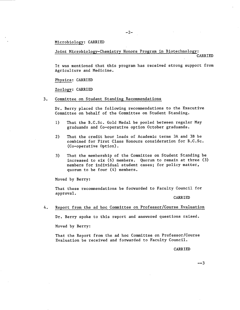# Microbiology: CARRIED

Joint Microbiology-Chemistry Honors Program in Biotechnology:

 $-2-$ 

CARRIED

It was mentioned that this program has received strong support from Agriculture and Medicine.

Physics: CARRIED

Zoology: CARRIED

3. Committee on Student Standing Recommendations

Dr. Berry placed the following recommendations to the Executive Committee on behalf of the Committee on Student Standing.

- That the B.C.Sc. Gold Medal be pooled between regular May  $1)$ graduands and Co-operative option October graduands.
- That the credit hour loads of Academic terms 3A and 3B be  $2)$ combined for First Class Honours consideration for B.C.Sc. (Co-operative Option).
- That the membership of the Committee on Student Standing be  $3)$ increased to six (6) members. Quorum to remain at three (3) members for individual student cases; for policy matter, quorum to be four (4) members.

Moved by Berry:

That these recommendations be forwarded to Faculty Council for approval.

CARRIED

4. Report from the ad hoc Committee on Professor/Course Evaluation

Dr. Berry spoke to this report and answered questions raised.

Moved by Berry:

That the Report from the ad hoc Committee on Professor/Course Evaluation be received and forwarded to Faculty Council.

CARRIED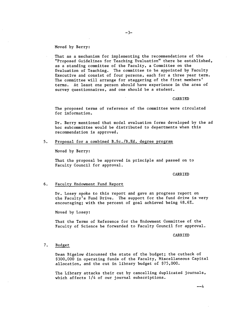## Moved by Berry:

That as a mechanism for implementing the recommendations of the "Proposed Guidelines for Teaching Evaluation" there be established, as a standing committee of the Faculty, a Committee on the Evaluation of Teaching. The committee to be appointed by Faculty Executive and consist of four persons, each for a three year term. The committee will arrange for staggering of the first members' terms. At least one person should have experience in the area of survey questionnaires, and one should be a student.

## CARRIED

The proposed terms of reference of the committee were circulated for information.

Dr. Berry mentioned that model evaluation forms developed by the ad hoc subcommittee would be distributed to departments when this recommendation is approved.

# 5. Proposal for a combined B.Sc./B.Ed. degree program

Moved by Berry:

That the proposal be approved in principle and passed on to Faculty Council for approval.

#### CARRIED

## 6. Faculty Endowment Fund Report

Dr. Losey spoke to this report and gave an progress report on the Faculty's Fund Drive. The support for the fund drive is very encouraging; with the percent of goal achieved being 48.6%.

Moved by Losey:

That the Terms of Reference for the Endowment Committee of the Faculty of Science be forwarded to Faculty Council for approval.

CARRIED

# 7. Budget

Dean Bigelow discussed the state of the budget; the cutback of \$300,000 in operating funds of the Faculty, Miscellaneous Capital allocation, and the cut in library budget of \$75,000.

The Library attacks their cut by cancelling duplicated journals, which affects 1/4 of our journal subscriptions.

--4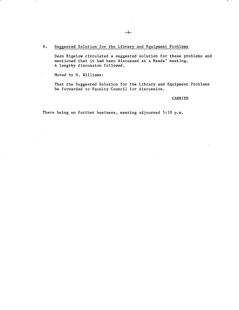# 8. Suggested Solution for the Library and Equipment Problems

Dean Bigelow circulated a suggested solution for these problems and mentioned that it had been discussed at a Heads' meeting. A lengthy discussion followed.

Moved by H. Williams:

 $\bar{z}$ 

 $\sim 10$ 

That the Suggested Solution for the Library and Equipment Problems be forwarded to Faculty Council for discussion.

CARRIED

 $\overline{a}$ 

There being no further business, meeting adjourned 5:10 p.m.